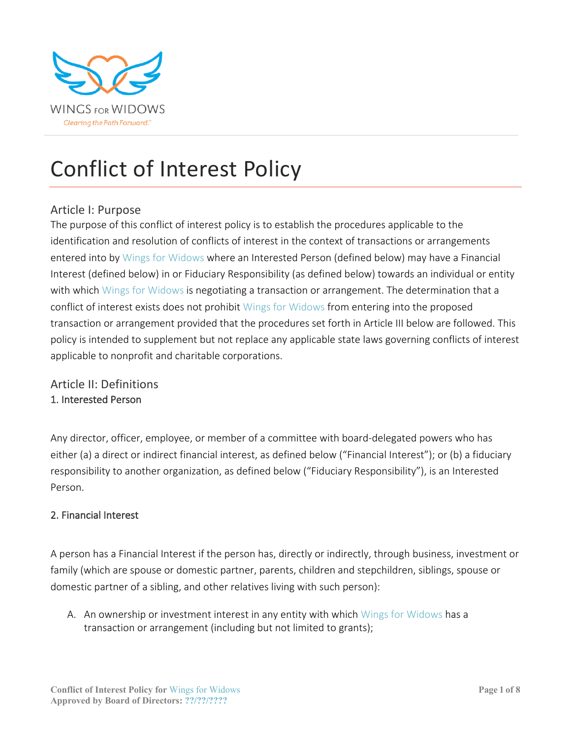

## Conflict of Interest Policy

## Article I: Purpose

The purpose of this conflict of interest policy is to establish the procedures applicable to the identification and resolution of conflicts of interest in the context of transactions or arrangements entered into by Wings for Widows where an Interested Person (defined below) may have a Financial Interest (defined below) in or Fiduciary Responsibility (as defined below) towards an individual or entity with which Wings for Widows is negotiating a transaction or arrangement. The determination that a conflict of interest exists does not prohibit Wings for Widows from entering into the proposed transaction or arrangement provided that the procedures set forth in Article III below are followed. This policy is intended to supplement but not replace any applicable state laws governing conflicts of interest applicable to nonprofit and charitable corporations.

## Article II: Definitions 1. Interested Person

Any director, officer, employee, or member of a committee with board-delegated powers who has either (a) a direct or indirect financial interest, as defined below ("Financial Interest"); or (b) a fiduciary responsibility to another organization, as defined below ("Fiduciary Responsibility"), is an Interested Person.

#### 2. Financial Interest

A person has a Financial Interest if the person has, directly or indirectly, through business, investment or family (which are spouse or domestic partner, parents, children and stepchildren, siblings, spouse or domestic partner of a sibling, and other relatives living with such person):

A. An ownership or investment interest in any entity with which Wings for Widows has a transaction or arrangement (including but not limited to grants);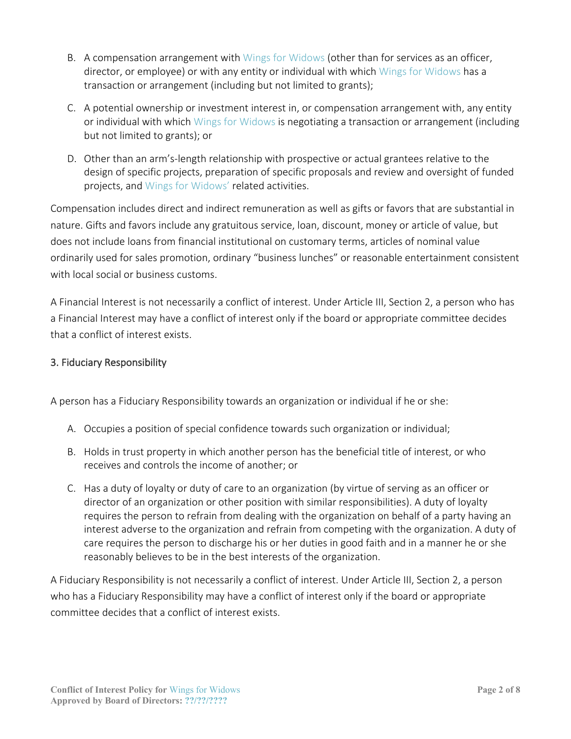- B. A compensation arrangement with Wings for Widows (other than for services as an officer, director, or employee) or with any entity or individual with which Wings for Widows has a transaction or arrangement (including but not limited to grants);
- C. A potential ownership or investment interest in, or compensation arrangement with, any entity or individual with which Wings for Widows is negotiating a transaction or arrangement (including but not limited to grants); or
- D. Other than an arm's-length relationship with prospective or actual grantees relative to the design of specific projects, preparation of specific proposals and review and oversight of funded projects, and Wings for Widows' related activities.

Compensation includes direct and indirect remuneration as well as gifts or favors that are substantial in nature. Gifts and favors include any gratuitous service, loan, discount, money or article of value, but does not include loans from financial institutional on customary terms, articles of nominal value ordinarily used for sales promotion, ordinary "business lunches" or reasonable entertainment consistent with local social or business customs.

A Financial Interest is not necessarily a conflict of interest. Under Article III, Section 2, a person who has a Financial Interest may have a conflict of interest only if the board or appropriate committee decides that a conflict of interest exists.

#### 3. Fiduciary Responsibility

A person has a Fiduciary Responsibility towards an organization or individual if he or she:

- A. Occupies a position of special confidence towards such organization or individual;
- B. Holds in trust property in which another person has the beneficial title of interest, or who receives and controls the income of another; or
- C. Has a duty of loyalty or duty of care to an organization (by virtue of serving as an officer or director of an organization or other position with similar responsibilities). A duty of loyalty requires the person to refrain from dealing with the organization on behalf of a party having an interest adverse to the organization and refrain from competing with the organization. A duty of care requires the person to discharge his or her duties in good faith and in a manner he or she reasonably believes to be in the best interests of the organization.

A Fiduciary Responsibility is not necessarily a conflict of interest. Under Article III, Section 2, a person who has a Fiduciary Responsibility may have a conflict of interest only if the board or appropriate committee decides that a conflict of interest exists.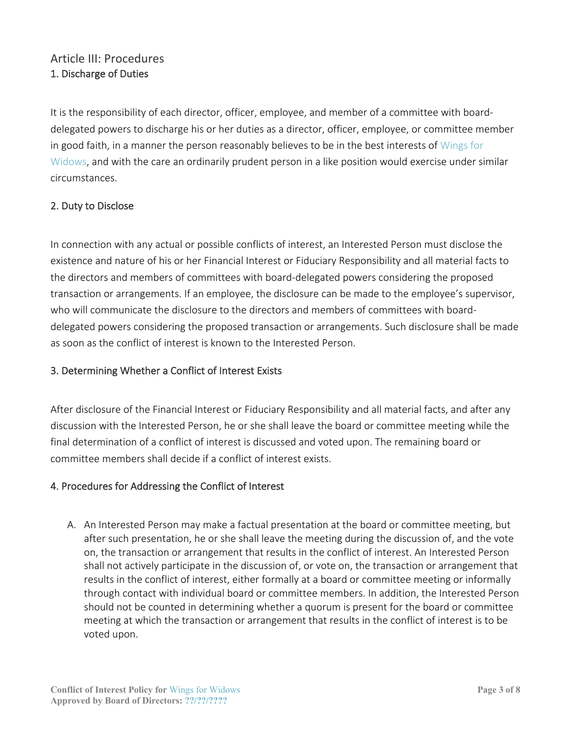## Article III: Procedures 1. Discharge of Duties

It is the responsibility of each director, officer, employee, and member of a committee with boarddelegated powers to discharge his or her duties as a director, officer, employee, or committee member in good faith, in a manner the person reasonably believes to be in the best interests of Wings for Widows, and with the care an ordinarily prudent person in a like position would exercise under similar circumstances.

#### 2. Duty to Disclose

In connection with any actual or possible conflicts of interest, an Interested Person must disclose the existence and nature of his or her Financial Interest or Fiduciary Responsibility and all material facts to the directors and members of committees with board-delegated powers considering the proposed transaction or arrangements. If an employee, the disclosure can be made to the employee's supervisor, who will communicate the disclosure to the directors and members of committees with boarddelegated powers considering the proposed transaction or arrangements. Such disclosure shall be made as soon as the conflict of interest is known to the Interested Person.

#### 3. Determining Whether a Conflict of Interest Exists

After disclosure of the Financial Interest or Fiduciary Responsibility and all material facts, and after any discussion with the Interested Person, he or she shall leave the board or committee meeting while the final determination of a conflict of interest is discussed and voted upon. The remaining board or committee members shall decide if a conflict of interest exists.

#### 4. Procedures for Addressing the Conflict of Interest

A. An Interested Person may make a factual presentation at the board or committee meeting, but after such presentation, he or she shall leave the meeting during the discussion of, and the vote on, the transaction or arrangement that results in the conflict of interest. An Interested Person shall not actively participate in the discussion of, or vote on, the transaction or arrangement that results in the conflict of interest, either formally at a board or committee meeting or informally through contact with individual board or committee members. In addition, the Interested Person should not be counted in determining whether a quorum is present for the board or committee meeting at which the transaction or arrangement that results in the conflict of interest is to be voted upon.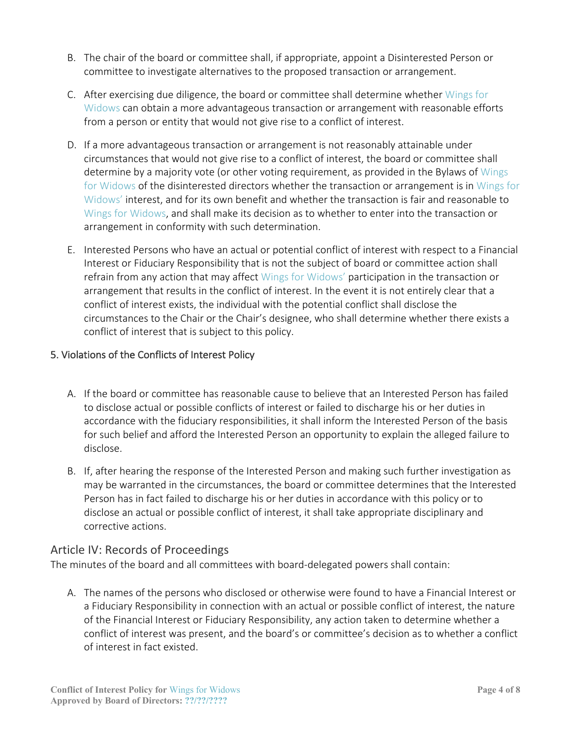- B. The chair of the board or committee shall, if appropriate, appoint a Disinterested Person or committee to investigate alternatives to the proposed transaction or arrangement.
- C. After exercising due diligence, the board or committee shall determine whether Wings for Widows can obtain a more advantageous transaction or arrangement with reasonable efforts from a person or entity that would not give rise to a conflict of interest.
- D. If a more advantageous transaction or arrangement is not reasonably attainable under circumstances that would not give rise to a conflict of interest, the board or committee shall determine by a majority vote (or other voting requirement, as provided in the Bylaws of Wings for Widows of the disinterested directors whether the transaction or arrangement is in Wings for Widows' interest, and for its own benefit and whether the transaction is fair and reasonable to Wings for Widows, and shall make its decision as to whether to enter into the transaction or arrangement in conformity with such determination.
- E. Interested Persons who have an actual or potential conflict of interest with respect to a Financial Interest or Fiduciary Responsibility that is not the subject of board or committee action shall refrain from any action that may affect Wings for Widows' participation in the transaction or arrangement that results in the conflict of interest. In the event it is not entirely clear that a conflict of interest exists, the individual with the potential conflict shall disclose the circumstances to the Chair or the Chair's designee, who shall determine whether there exists a conflict of interest that is subject to this policy.

#### 5. Violations of the Conflicts of Interest Policy

- A. If the board or committee has reasonable cause to believe that an Interested Person has failed to disclose actual or possible conflicts of interest or failed to discharge his or her duties in accordance with the fiduciary responsibilities, it shall inform the Interested Person of the basis for such belief and afford the Interested Person an opportunity to explain the alleged failure to disclose.
- B. If, after hearing the response of the Interested Person and making such further investigation as may be warranted in the circumstances, the board or committee determines that the Interested Person has in fact failed to discharge his or her duties in accordance with this policy or to disclose an actual or possible conflict of interest, it shall take appropriate disciplinary and corrective actions.

#### Article IV: Records of Proceedings

The minutes of the board and all committees with board-delegated powers shall contain:

A. The names of the persons who disclosed or otherwise were found to have a Financial Interest or a Fiduciary Responsibility in connection with an actual or possible conflict of interest, the nature of the Financial Interest or Fiduciary Responsibility, any action taken to determine whether a conflict of interest was present, and the board's or committee's decision as to whether a conflict of interest in fact existed.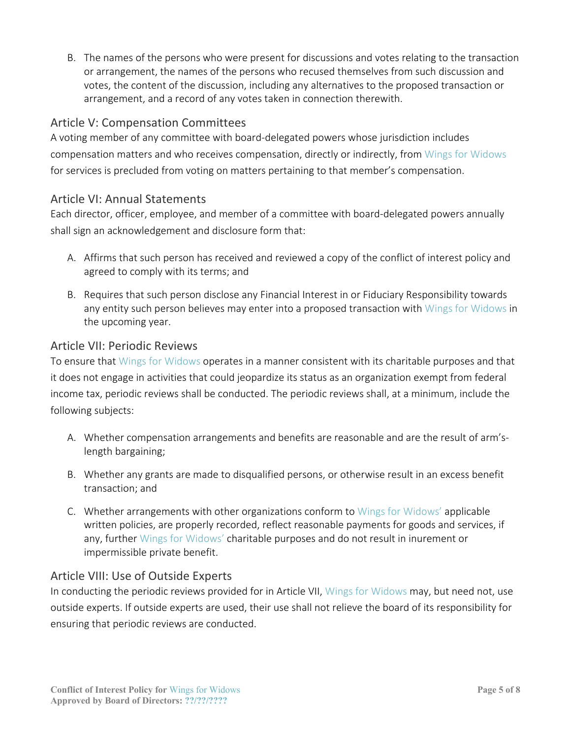B. The names of the persons who were present for discussions and votes relating to the transaction or arrangement, the names of the persons who recused themselves from such discussion and votes, the content of the discussion, including any alternatives to the proposed transaction or arrangement, and a record of any votes taken in connection therewith.

#### Article V: Compensation Committees

A voting member of any committee with board-delegated powers whose jurisdiction includes compensation matters and who receives compensation, directly or indirectly, from Wings for Widows for services is precluded from voting on matters pertaining to that member's compensation.

#### Article VI: Annual Statements

Each director, officer, employee, and member of a committee with board-delegated powers annually shall sign an acknowledgement and disclosure form that:

- A. Affirms that such person has received and reviewed a copy of the conflict of interest policy and agreed to comply with its terms; and
- B. Requires that such person disclose any Financial Interest in or Fiduciary Responsibility towards any entity such person believes may enter into a proposed transaction with Wings for Widows in the upcoming year.

#### Article VII: Periodic Reviews

To ensure that Wings for Widows operates in a manner consistent with its charitable purposes and that it does not engage in activities that could jeopardize its status as an organization exempt from federal income tax, periodic reviews shall be conducted. The periodic reviews shall, at a minimum, include the following subjects:

- A. Whether compensation arrangements and benefits are reasonable and are the result of arm'slength bargaining;
- B. Whether any grants are made to disqualified persons, or otherwise result in an excess benefit transaction; and
- C. Whether arrangements with other organizations conform to Wings for Widows' applicable written policies, are properly recorded, reflect reasonable payments for goods and services, if any, further Wings for Widows' charitable purposes and do not result in inurement or impermissible private benefit.

#### Article VIII: Use of Outside Experts

In conducting the periodic reviews provided for in Article VII, Wings for Widows may, but need not, use outside experts. If outside experts are used, their use shall not relieve the board of its responsibility for ensuring that periodic reviews are conducted.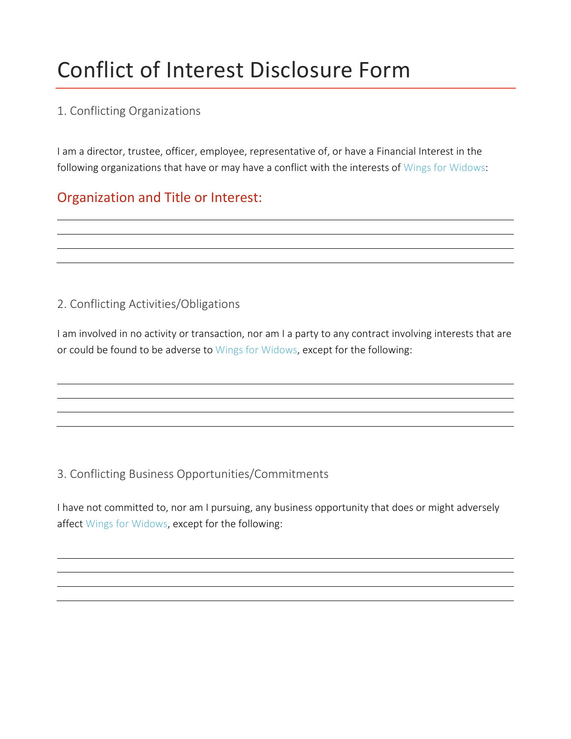# Conflict of Interest Disclosure Form

## 1. Conflicting Organizations

I am a director, trustee, officer, employee, representative of, or have a Financial Interest in the following organizations that have or may have a conflict with the interests of Wings for Widows:

## Organization and Title or Interest:

## 2. Conflicting Activities/Obligations

I am involved in no activity or transaction, nor am I a party to any contract involving interests that are or could be found to be adverse to Wings for Widows, except for the following:

## 3. Conflicting Business Opportunities/Commitments

I have not committed to, nor am I pursuing, any business opportunity that does or might adversely affect Wings for Widows, except for the following: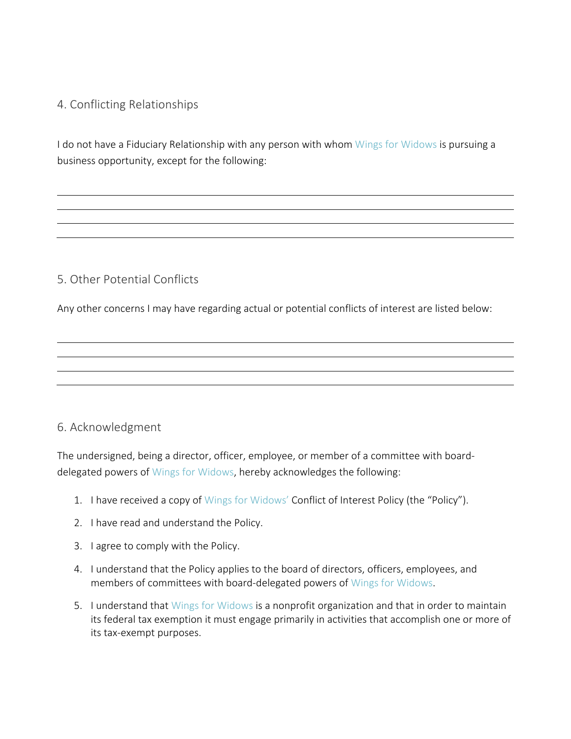## 4. Conflicting Relationships

I do not have a Fiduciary Relationship with any person with whom Wings for Widows is pursuing a business opportunity, except for the following:

## 5. Other Potential Conflicts

Any other concerns I may have regarding actual or potential conflicts of interest are listed below:

#### 6. Acknowledgment

The undersigned, being a director, officer, employee, or member of a committee with boarddelegated powers of Wings for Widows, hereby acknowledges the following:

- 1. I have received a copy of Wings for Widows' Conflict of Interest Policy (the "Policy").
- 2. I have read and understand the Policy.
- 3. I agree to comply with the Policy.
- 4. I understand that the Policy applies to the board of directors, officers, employees, and members of committees with board-delegated powers of Wings for Widows.
- 5. I understand that Wings for Widows is a nonprofit organization and that in order to maintain its federal tax exemption it must engage primarily in activities that accomplish one or more of its tax-exempt purposes.